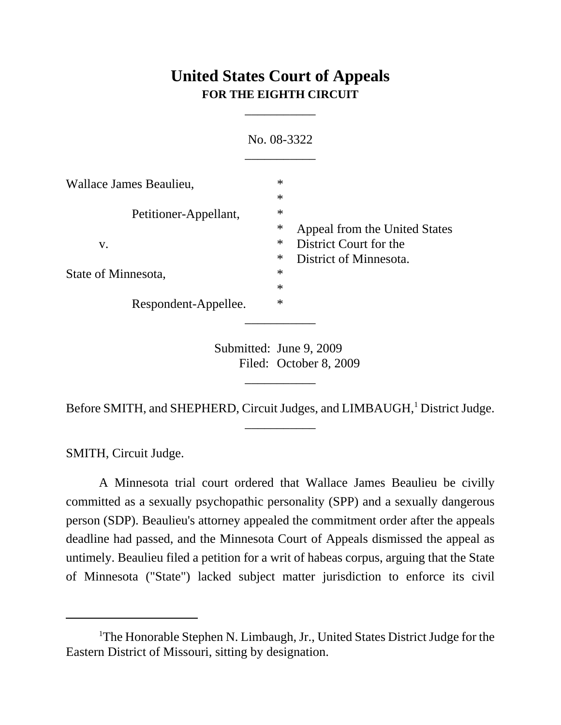# **United States Court of Appeals FOR THE EIGHTH CIRCUIT**

\_\_\_\_\_\_\_\_\_\_\_

|                         | No. 08-3322      |                                                         |
|-------------------------|------------------|---------------------------------------------------------|
| Wallace James Beaulieu, | $\ast$           |                                                         |
| Petitioner-Appellant,   | $\ast$<br>$\ast$ |                                                         |
| V.                      | ∗<br>$\ast$      | Appeal from the United States<br>District Court for the |
| State of Minnesota,     | $\ast$<br>$\ast$ | District of Minnesota.                                  |
| Respondent-Appellee.    | $\ast$<br>$\ast$ |                                                         |
|                         |                  |                                                         |

Submitted: June 9, 2009 Filed: October 8, 2009

Before SMITH, and SHEPHERD, Circuit Judges, and LIMBAUGH,<sup>1</sup> District Judge. \_\_\_\_\_\_\_\_\_\_\_

\_\_\_\_\_\_\_\_\_\_\_

SMITH, Circuit Judge.

A Minnesota trial court ordered that Wallace James Beaulieu be civilly committed as a sexually psychopathic personality (SPP) and a sexually dangerous person (SDP). Beaulieu's attorney appealed the commitment order after the appeals deadline had passed, and the Minnesota Court of Appeals dismissed the appeal as untimely. Beaulieu filed a petition for a writ of habeas corpus, arguing that the State of Minnesota ("State") lacked subject matter jurisdiction to enforce its civil

<sup>&</sup>lt;sup>1</sup>The Honorable Stephen N. Limbaugh, Jr., United States District Judge for the Eastern District of Missouri, sitting by designation.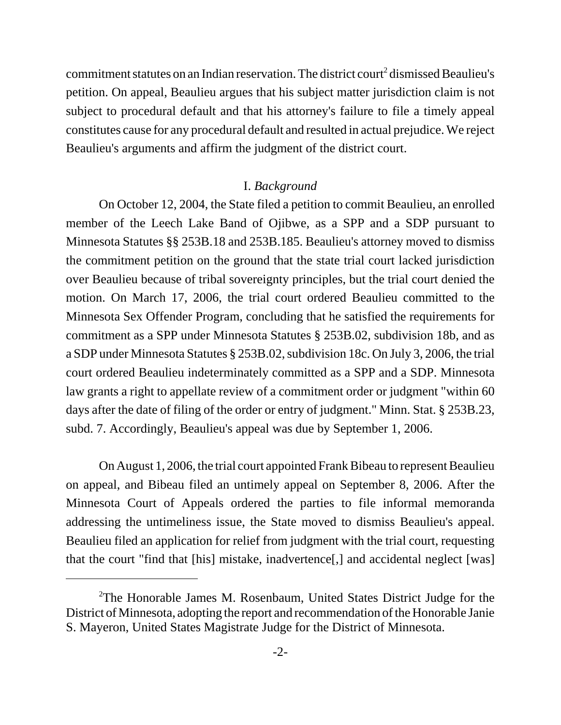commitment statutes on an Indian reservation. The district court<sup>2</sup> dismissed Beaulieu's petition. On appeal, Beaulieu argues that his subject matter jurisdiction claim is not subject to procedural default and that his attorney's failure to file a timely appeal constitutes cause for any procedural default and resulted in actual prejudice. We reject Beaulieu's arguments and affirm the judgment of the district court.

#### I. *Background*

On October 12, 2004, the State filed a petition to commit Beaulieu, an enrolled member of the Leech Lake Band of Ojibwe, as a SPP and a SDP pursuant to Minnesota Statutes §§ 253B.18 and 253B.185. Beaulieu's attorney moved to dismiss the commitment petition on the ground that the state trial court lacked jurisdiction over Beaulieu because of tribal sovereignty principles, but the trial court denied the motion. On March 17, 2006, the trial court ordered Beaulieu committed to the Minnesota Sex Offender Program, concluding that he satisfied the requirements for commitment as a SPP under Minnesota Statutes § 253B.02, subdivision 18b, and as a SDP under Minnesota Statutes § 253B.02, subdivision 18c. On July 3, 2006, the trial court ordered Beaulieu indeterminately committed as a SPP and a SDP. Minnesota law grants a right to appellate review of a commitment order or judgment "within 60 days after the date of filing of the order or entry of judgment." Minn. Stat. § 253B.23, subd. 7. Accordingly, Beaulieu's appeal was due by September 1, 2006.

On August 1, 2006, the trial court appointed Frank Bibeau to represent Beaulieu on appeal, and Bibeau filed an untimely appeal on September 8, 2006. After the Minnesota Court of Appeals ordered the parties to file informal memoranda addressing the untimeliness issue, the State moved to dismiss Beaulieu's appeal. Beaulieu filed an application for relief from judgment with the trial court, requesting that the court "find that [his] mistake, inadvertence[,] and accidental neglect [was]

<sup>&</sup>lt;sup>2</sup>The Honorable James M. Rosenbaum, United States District Judge for the District of Minnesota, adopting the report and recommendation of the Honorable Janie S. Mayeron, United States Magistrate Judge for the District of Minnesota.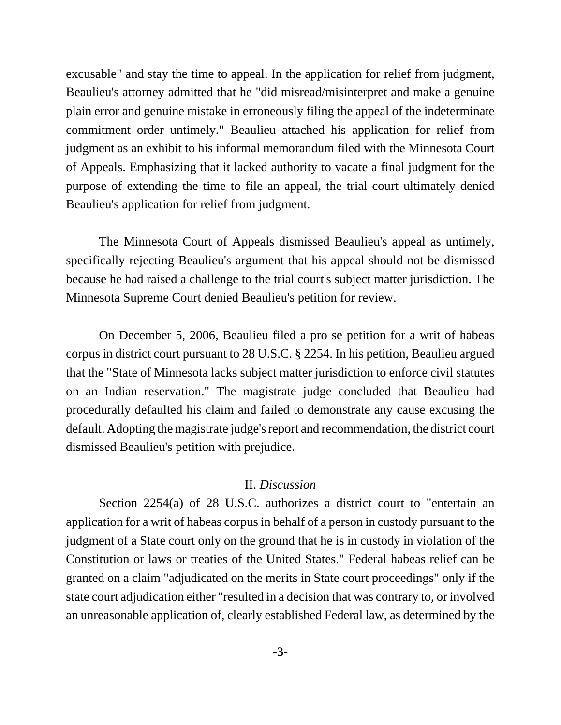excusable" and stay the time to appeal. In the application for relief from judgment, Beaulieu's attorney admitted that he "did misread/misinterpret and make a genuine plain error and genuine mistake in erroneously filing the appeal of the indeterminate commitment order untimely." Beaulieu attached his application for relief from judgment as an exhibit to his informal memorandum filed with the Minnesota Court of Appeals. Emphasizing that it lacked authority to vacate a final judgment for the purpose of extending the time to file an appeal, the trial court ultimately denied Beaulieu's application for relief from judgment.

The Minnesota Court of Appeals dismissed Beaulieu's appeal as untimely, specifically rejecting Beaulieu's argument that his appeal should not be dismissed because he had raised a challenge to the trial court's subject matter jurisdiction. The Minnesota Supreme Court denied Beaulieu's petition for review.

On December 5, 2006, Beaulieu filed a pro se petition for a writ of habeas corpus in district court pursuant to 28 U.S.C. § 2254. In his petition, Beaulieu argued that the "State of Minnesota lacks subject matter jurisdiction to enforce civil statutes on an Indian reservation." The magistrate judge concluded that Beaulieu had procedurally defaulted his claim and failed to demonstrate any cause excusing the default. Adopting the magistrate judge's report and recommendation, the district court dismissed Beaulieu's petition with prejudice.

## II. *Discussion*

Section 2254(a) of 28 U.S.C. authorizes a district court to "entertain an application for a writ of habeas corpus in behalf of a person in custody pursuant to the judgment of a State court only on the ground that he is in custody in violation of the Constitution or laws or treaties of the United States." Federal habeas relief can be granted on a claim "adjudicated on the merits in State court proceedings" only if the state court adjudication either "resulted in a decision that was contrary to, or involved an unreasonable application of, clearly established Federal law, as determined by the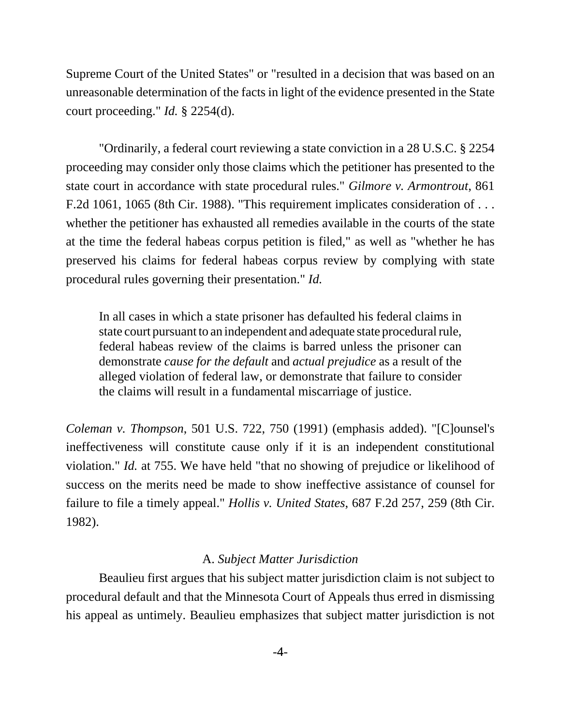Supreme Court of the United States" or "resulted in a decision that was based on an unreasonable determination of the facts in light of the evidence presented in the State court proceeding." *Id.* § 2254(d).

"Ordinarily, a federal court reviewing a state conviction in a 28 U.S.C. § 2254 proceeding may consider only those claims which the petitioner has presented to the state court in accordance with state procedural rules." *Gilmore v. Armontrout*, 861 F.2d 1061, 1065 (8th Cir. 1988). "This requirement implicates consideration of . . . whether the petitioner has exhausted all remedies available in the courts of the state at the time the federal habeas corpus petition is filed," as well as "whether he has preserved his claims for federal habeas corpus review by complying with state procedural rules governing their presentation." *Id.*

In all cases in which a state prisoner has defaulted his federal claims in state court pursuant to an independent and adequate state procedural rule, federal habeas review of the claims is barred unless the prisoner can demonstrate *cause for the default* and *actual prejudice* as a result of the alleged violation of federal law, or demonstrate that failure to consider the claims will result in a fundamental miscarriage of justice.

*Coleman v. Thompson*, 501 U.S. 722, 750 (1991) (emphasis added). "[C]ounsel's ineffectiveness will constitute cause only if it is an independent constitutional violation." *Id.* at 755. We have held "that no showing of prejudice or likelihood of success on the merits need be made to show ineffective assistance of counsel for failure to file a timely appeal." *Hollis v. United States*, 687 F.2d 257, 259 (8th Cir. 1982).

## A. *Subject Matter Jurisdiction*

Beaulieu first argues that his subject matter jurisdiction claim is not subject to procedural default and that the Minnesota Court of Appeals thus erred in dismissing his appeal as untimely. Beaulieu emphasizes that subject matter jurisdiction is not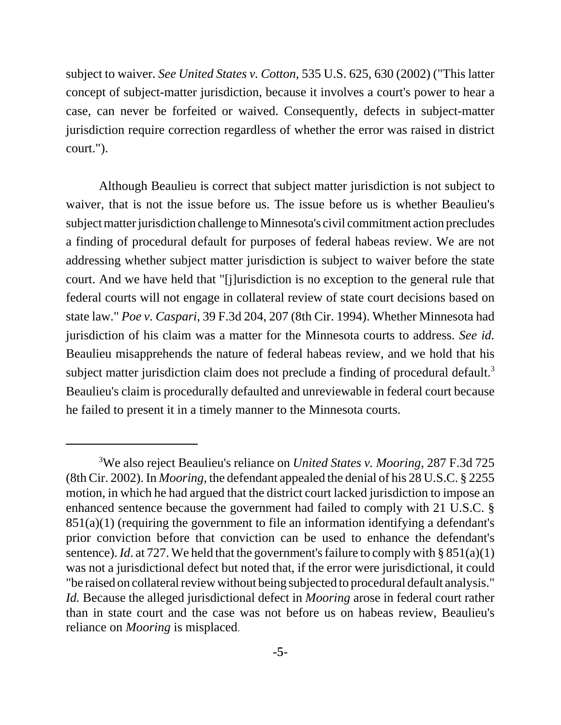subject to waiver. *See United States v. Cotton*, 535 U.S. 625, 630 (2002) ("This latter concept of subject-matter jurisdiction, because it involves a court's power to hear a case, can never be forfeited or waived. Consequently, defects in subject-matter jurisdiction require correction regardless of whether the error was raised in district court.").

Although Beaulieu is correct that subject matter jurisdiction is not subject to waiver, that is not the issue before us. The issue before us is whether Beaulieu's subject matter jurisdiction challenge to Minnesota's civil commitment action precludes a finding of procedural default for purposes of federal habeas review. We are not addressing whether subject matter jurisdiction is subject to waiver before the state court. And we have held that "[j]urisdiction is no exception to the general rule that federal courts will not engage in collateral review of state court decisions based on state law." *Poe v. Caspari*, 39 F.3d 204, 207 (8th Cir. 1994). Whether Minnesota had jurisdiction of his claim was a matter for the Minnesota courts to address. *See id.* Beaulieu misapprehends the nature of federal habeas review, and we hold that his subject matter jurisdiction claim does not preclude a finding of procedural default.<sup>3</sup> Beaulieu's claim is procedurally defaulted and unreviewable in federal court because he failed to present it in a timely manner to the Minnesota courts.

<sup>3</sup> We also reject Beaulieu's reliance on *United States v. Mooring*, 287 F.3d 725 (8th Cir. 2002). In *Mooring*, the defendant appealed the denial of his 28 U.S.C. § 2255 motion, in which he had argued that the district court lacked jurisdiction to impose an enhanced sentence because the government had failed to comply with 21 U.S.C. § 851(a)(1) (requiring the government to file an information identifying a defendant's prior conviction before that conviction can be used to enhance the defendant's sentence). *Id*. at 727. We held that the government's failure to comply with  $\S 851(a)(1)$ was not a jurisdictional defect but noted that, if the error were jurisdictional, it could "be raised on collateral review without being subjected to procedural default analysis." *Id.* Because the alleged jurisdictional defect in *Mooring* arose in federal court rather than in state court and the case was not before us on habeas review, Beaulieu's reliance on *Mooring* is misplaced.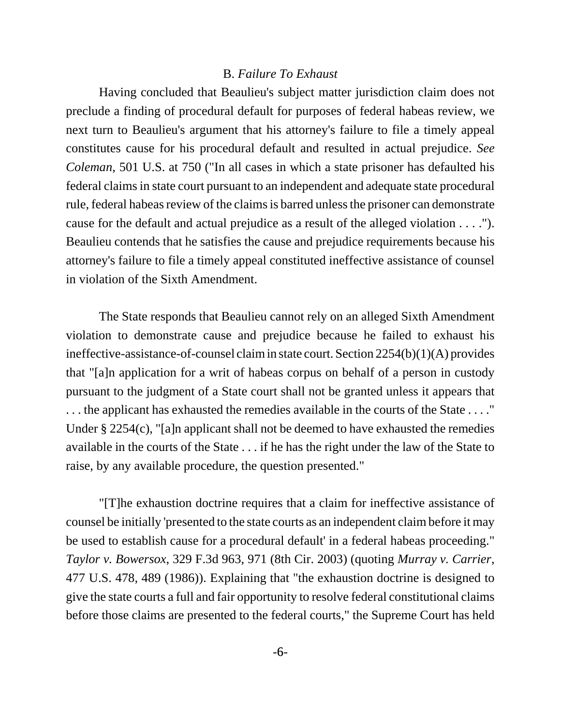#### B. *Failure To Exhaust*

Having concluded that Beaulieu's subject matter jurisdiction claim does not preclude a finding of procedural default for purposes of federal habeas review, we next turn to Beaulieu's argument that his attorney's failure to file a timely appeal constitutes cause for his procedural default and resulted in actual prejudice. *See Coleman*, 501 U.S. at 750 ("In all cases in which a state prisoner has defaulted his federal claims in state court pursuant to an independent and adequate state procedural rule, federal habeas review of the claims is barred unless the prisoner can demonstrate cause for the default and actual prejudice as a result of the alleged violation . . . ."). Beaulieu contends that he satisfies the cause and prejudice requirements because his attorney's failure to file a timely appeal constituted ineffective assistance of counsel in violation of the Sixth Amendment.

The State responds that Beaulieu cannot rely on an alleged Sixth Amendment violation to demonstrate cause and prejudice because he failed to exhaust his ineffective-assistance-of-counsel claim in state court. Section 2254(b)(1)(A) provides that "[a]n application for a writ of habeas corpus on behalf of a person in custody pursuant to the judgment of a State court shall not be granted unless it appears that . . . the applicant has exhausted the remedies available in the courts of the State . . . ." Under § 2254(c), "[a]n applicant shall not be deemed to have exhausted the remedies available in the courts of the State . . . if he has the right under the law of the State to raise, by any available procedure, the question presented."

"[T]he exhaustion doctrine requires that a claim for ineffective assistance of counsel be initially 'presented to the state courts as an independent claim before it may be used to establish cause for a procedural default' in a federal habeas proceeding." *Taylor v. Bowersox*, 329 F.3d 963, 971 (8th Cir. 2003) (quoting *Murray v. Carrier*, 477 U.S. 478, 489 (1986)). Explaining that "the exhaustion doctrine is designed to give the state courts a full and fair opportunity to resolve federal constitutional claims before those claims are presented to the federal courts," the Supreme Court has held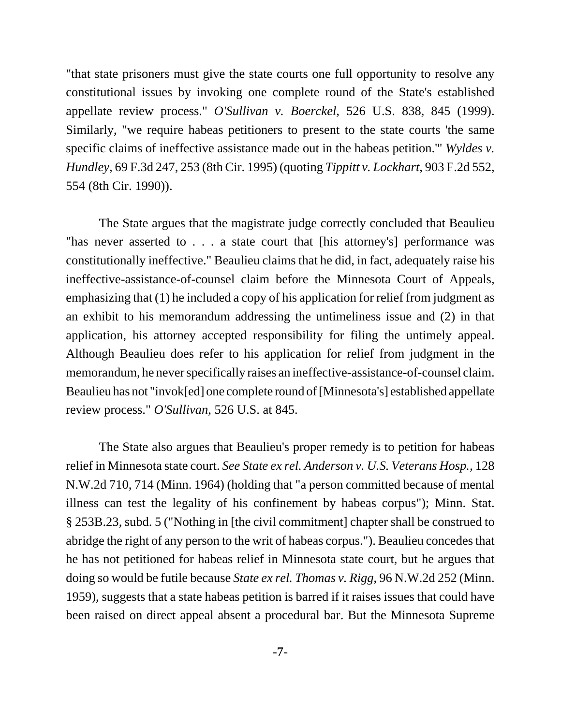"that state prisoners must give the state courts one full opportunity to resolve any constitutional issues by invoking one complete round of the State's established appellate review process." *O'Sullivan v. Boerckel*, 526 U.S. 838, 845 (1999). Similarly, "we require habeas petitioners to present to the state courts 'the same specific claims of ineffective assistance made out in the habeas petition.'" *Wyldes v. Hundley*, 69 F.3d 247, 253 (8th Cir. 1995) (quoting *Tippitt v. Lockhart*, 903 F.2d 552, 554 (8th Cir. 1990)).

The State argues that the magistrate judge correctly concluded that Beaulieu "has never asserted to . . . a state court that [his attorney's] performance was constitutionally ineffective." Beaulieu claims that he did, in fact, adequately raise his ineffective-assistance-of-counsel claim before the Minnesota Court of Appeals, emphasizing that (1) he included a copy of his application for relief from judgment as an exhibit to his memorandum addressing the untimeliness issue and (2) in that application, his attorney accepted responsibility for filing the untimely appeal. Although Beaulieu does refer to his application for relief from judgment in the memorandum, he never specifically raises an ineffective-assistance-of-counsel claim. Beaulieu has not "invok[ed] one complete round of [Minnesota's] established appellate review process." *O'Sullivan*, 526 U.S. at 845.

The State also argues that Beaulieu's proper remedy is to petition for habeas relief in Minnesota state court. *See State ex rel. Anderson v. U.S. Veterans Hosp.*, 128 N.W.2d 710, 714 (Minn. 1964) (holding that "a person committed because of mental illness can test the legality of his confinement by habeas corpus"); Minn. Stat. § 253B.23, subd. 5 ("Nothing in [the civil commitment] chapter shall be construed to abridge the right of any person to the writ of habeas corpus."). Beaulieu concedes that he has not petitioned for habeas relief in Minnesota state court, but he argues that doing so would be futile because *State ex rel. Thomas v. Rigg*, 96 N.W.2d 252 (Minn. 1959), suggests that a state habeas petition is barred if it raises issues that could have been raised on direct appeal absent a procedural bar. But the Minnesota Supreme